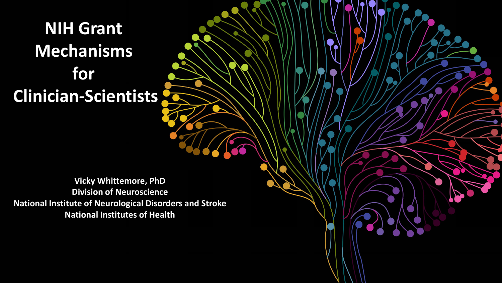### **NIH Grant Mechanisms for Clinician-Scientists**

 **National Institutes of Health Vicky Whittemore, PhD Division of Neuroscience National Institute of Neurological Disorders and Stroke**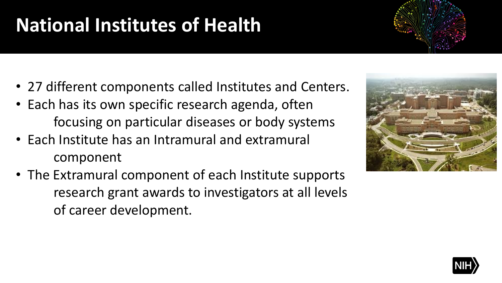# **National Institutes of Health**

- 27 different components called Institutes and Centers.
- • Each has its own specific research agenda, often focusing on particular diseases or body systems
- • Each Institute has an Intramural and extramural component
- • The Extramural component of each Institute supports research grant awards to investigators at all levels of career development.



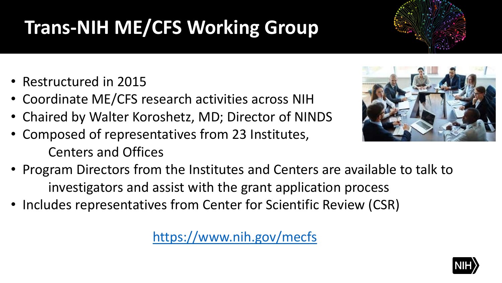# **Trans-NIH ME/CFS Working Group**

- Restructured in 2015
- Coordinate ME/CFS research activities across NIH
- Chaired by Walter Koroshetz, MD; Director of NINDS
- Composed of representatives from 23 Institutes, Centers and Offices
- • Program Directors from the Institutes and Centers are available to talk to investigators and assist with the grant application process
- Includes representatives from Center for Scientific Review (CSR)

<https://www.nih.gov/mecfs>





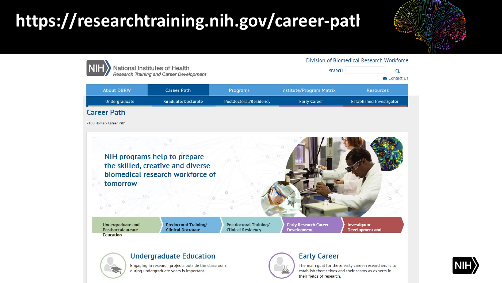### **<https://researchtraining.nih.gov/career-path>**







#### **Undergraduate Education**

Engaging in research projects outside the classroom during undergraduate years is important.

#### **Early Career**

The main goal for these early career researchers is to establish themselves and their teams as experts in their fields of research.

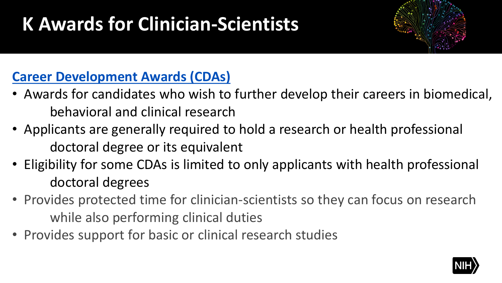### **K Awards for Clinician-Scientists**



### **[Career Development Awards \(CDAs\)](https://www.ninds.nih.gov/Funding/Training-Career-Development/Career-Development-Awards)**

- • Awards for candidates who wish to further develop their careers in biomedical, behavioral and clinical research
- • Applicants are generally required to hold a research or health professional doctoral degree or its equivalent
- • Eligibility for some CDAs is limited to only applicants with health professional doctoral degrees
- • Provides protected time for clinician-scientists so they can focus on research while also performing clinical duties
- Slide 2 • Provides support for basic or clinical research studies

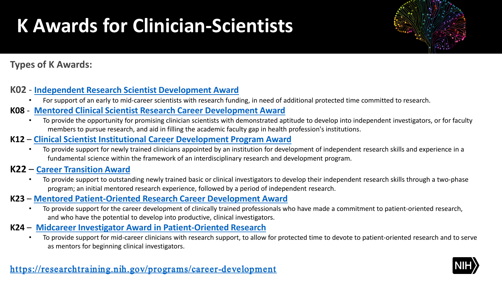### **K Awards for Clinician-Scientists**



### **Types of K Awards:**

#### **K02** - **[Independent Research Scientist Development Award](https://researchtraining.nih.gov/programs/career-development/K02)**

• For support of an early to mid-career scientists with research funding, in need of additional protected time committed to research.

#### **K08** - **[Mentored Clinical Scientist Research Career Development Award](https://researchtraining.nih.gov/programs/career-development/K08)**

 • To provide the opportunity for promising clinician scientists with demonstrated aptitude to develop into independent investigators, or for faculty members to pursue research, and aid in filling the academic faculty gap in health profession's institutions.

#### **K12** – **[Clinical Scientist Institutional Career Development Program Award](https://researchtraining.nih.gov/programs/career-development/K12)**

 fundamental science within the framework of an interdisciplinary research and development program. • To provide support for newly trained clinicians appointed by an institution for development of independent research skills and experience in a

#### **K22** – **[Career Transition Award](https://researchtraining.nih.gov/programs/career-development/K22)**

 • To provide support to outstanding newly trained basic or clinical investigators to develop their independent research skills through a two-phase program; an initial mentored research experience, followed by a period of independent research.

#### **K23** – **[Mentored Patient-Oriented Research Career Development Award](https://researchtraining.nih.gov/programs/career-development/K23)**

 • To provide support for the career development of clinically trained professionals who have made a commitment to patient-oriented research, and who have the potential to develop into productive, clinical investigators.

#### **K24** – **[Midcareer Investigator Award in Patient-Oriented Research](https://researchtraining.nih.gov/programs/career-development/K24)**

• To provide support for mid-career clinicians with research support, to allow for protected time to devote to patient-oriented research and to serve<br>as mentors for beginning clinical investigators as mentors for beginning clinical investigators.

#### https://researchtraining.nih.gov/programs/career-development

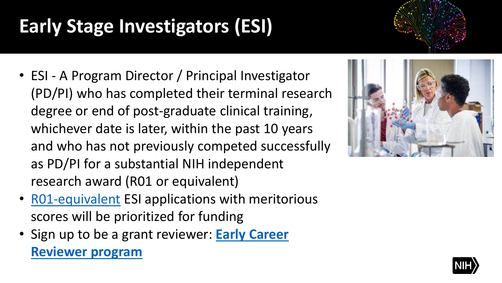### **Early Stage Investigators (ESI)**

- whichever date is later, within the past 10 years • ESI - A Program Director / Principal Investigator (PD/PI) who has completed their terminal research degree or end of post-graduate clinical training, and who has not previously competed successfully as PD/PI for a substantial NIH independent research award (R01 or equivalent)
- scores will be prioritized for funding • [R01-equivalent](https://grants.nih.gov/grants/glossary.htm#R01EquivalentGrant) ESI applications with meritorious
- • [Sign up to be a grant reviewer:](https://public.csr.nih.gov/ForReviewers/BecomeAReviewer/ECR) **Early Career Reviewer program**



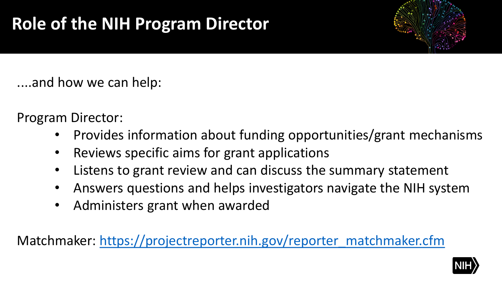

....and how we can help:

Program Director:

- Provides information about funding opportunities/grant mechanisms
- Reviews specific aims for grant applications
- Listens to grant review and can discuss the summary statement
- Answers questions and helps investigators navigate the NIH system
- Administers grant when awarded

Matchmaker: https://projectreporter.nih.gov/reporter\_matchmaker.cfm